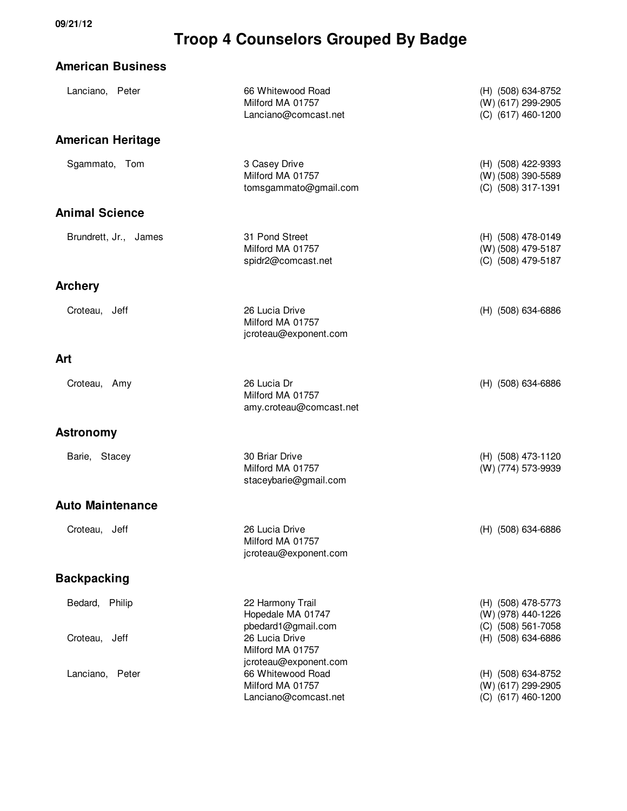#### **American Business**

| Lanciano, Peter                 | 66 Whitewood Road<br>Milford MA 01757<br>Lanciano@comcast.net                                     | (H) (508) 634-8752<br>(W) (617) 299-2905<br>(C) (617) 460-1200                       |
|---------------------------------|---------------------------------------------------------------------------------------------------|--------------------------------------------------------------------------------------|
| <b>American Heritage</b>        |                                                                                                   |                                                                                      |
| Sgammato, Tom                   | 3 Casey Drive<br>Milford MA 01757<br>tomsgammato@gmail.com                                        | (H) (508) 422-9393<br>(W) (508) 390-5589<br>(C) (508) 317-1391                       |
| <b>Animal Science</b>           |                                                                                                   |                                                                                      |
| Brundrett, Jr., James           | 31 Pond Street<br>Milford MA 01757<br>spidr2@comcast.net                                          | (H) (508) 478-0149<br>(W) (508) 479-5187<br>(C) (508) 479-5187                       |
| <b>Archery</b>                  |                                                                                                   |                                                                                      |
| Croteau, Jeff                   | 26 Lucia Drive<br>Milford MA 01757<br>jcroteau@exponent.com                                       | (H) (508) 634-6886                                                                   |
| Art                             |                                                                                                   |                                                                                      |
| Croteau, Amy                    | 26 Lucia Dr<br>Milford MA 01757<br>amy.croteau@comcast.net                                        | (H) (508) 634-6886                                                                   |
| <b>Astronomy</b>                |                                                                                                   |                                                                                      |
| Barie, Stacey                   | 30 Briar Drive<br>Milford MA 01757<br>staceybarie@gmail.com                                       | (H) (508) 473-1120<br>(W) (774) 573-9939                                             |
| <b>Auto Maintenance</b>         |                                                                                                   |                                                                                      |
| Croteau, Jeff                   | 26 Lucia Drive<br>Milford MA 01757<br>jcroteau@exponent.com                                       | (H) (508) 634-6886                                                                   |
| <b>Backpacking</b>              |                                                                                                   |                                                                                      |
| Bedard, Philip<br>Croteau, Jeff | 22 Harmony Trail<br>Hopedale MA 01747<br>pbedard1@gmail.com<br>26 Lucia Drive<br>Milford MA 01757 | (H) (508) 478-5773<br>(W) (978) 440-1226<br>(C) (508) 561-7058<br>(H) (508) 634-6886 |
| Lanciano, Peter                 | jcroteau@exponent.com<br>66 Whitewood Road<br>Milford MA 01757<br>Lanciano@comcast.net            | (H) (508) 634-8752<br>(W) (617) 299-2905<br>(C) (617) 460-1200                       |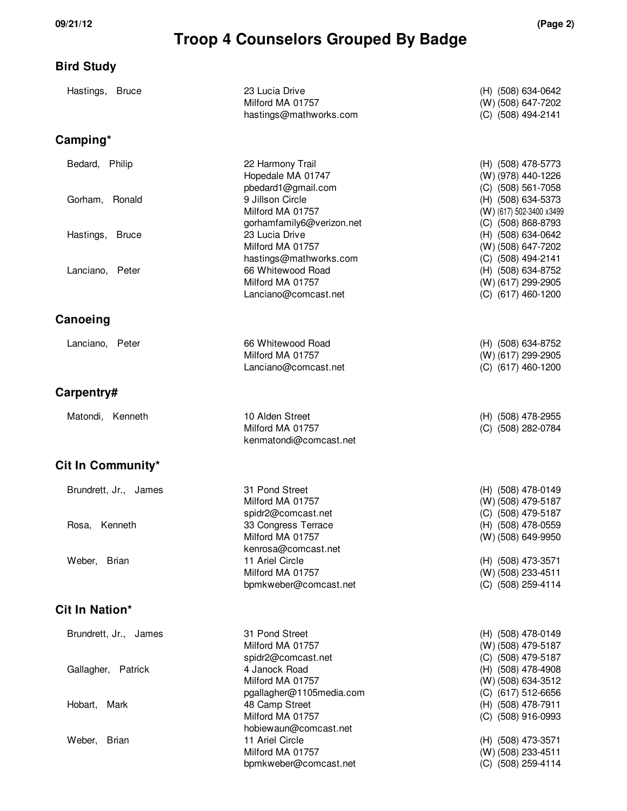#### **Bird Study**

| Hastings, Bruce       | 23 Lucia Drive<br>Milford MA 01757<br>hastings@mathworks.com      | (H) (508) 634-0642<br>(W) (508) 647-7202<br>(C) (508) 494-2141       |
|-----------------------|-------------------------------------------------------------------|----------------------------------------------------------------------|
| Camping*              |                                                                   |                                                                      |
| Bedard, Philip        | 22 Harmony Trail<br>Hopedale MA 01747<br>pbedard1@gmail.com       | (H) (508) 478-5773<br>(W) (978) 440-1226<br>(C) (508) 561-7058       |
| Gorham, Ronald        | 9 Jillson Circle<br>Milford MA 01757<br>gorhamfamily6@verizon.net | (H) (508) 634-5373<br>(W) (617) 502-3400 x3499<br>(C) (508) 868-8793 |
| Hastings, Bruce       | 23 Lucia Drive<br>Milford MA 01757<br>hastings@mathworks.com      | (H) (508) 634-0642<br>(W) (508) 647-7202<br>(C) (508) 494-2141       |
| Lanciano, Peter       | 66 Whitewood Road<br>Milford MA 01757<br>Lanciano@comcast.net     | (H) (508) 634-8752<br>(W) (617) 299-2905<br>(C) (617) 460-1200       |
| Canoeing              |                                                                   |                                                                      |
| Lanciano, Peter       | 66 Whitewood Road<br>Milford MA 01757<br>Lanciano@comcast.net     | (H) (508) 634-8752<br>(W) (617) 299-2905<br>(C) (617) 460-1200       |
| Carpentry#            |                                                                   |                                                                      |
| Matondi, Kenneth      | 10 Alden Street<br>Milford MA 01757<br>kenmatondi@comcast.net     | (H) (508) 478-2955<br>(C) (508) 282-0784                             |
| Cit In Community*     |                                                                   |                                                                      |
| Brundrett, Jr., James | 31 Pond Street<br>Milford MA 01757<br>spidr2@comcast.net          | (H) (508) 478-0149<br>(W) (508) 479-5187<br>(C) (508) 479-5187       |
| Rosa, Kenneth         | 33 Congress Terrace<br>Milford MA 01757<br>kenrosa@comcast.net    | (H) (508) 478-0559<br>(W) (508) 649-9950                             |
| Weber, Brian          | 11 Ariel Circle<br>Milford MA 01757<br>bpmkweber@comcast.net      | (H) (508) 473-3571<br>(W) (508) 233-4511<br>(C) (508) 259-4114       |
| Cit In Nation*        |                                                                   |                                                                      |
| Brundrett, Jr., James | 31 Pond Street<br>Milford MA 01757<br>spidr2@comcast.net          | (H) (508) 478-0149<br>(W) (508) 479-5187<br>(C) (508) 479-5187       |
| Gallagher, Patrick    | 4 Janock Road<br>Milford MA 01757<br>pgallagher@1105media.com     | (H) (508) 478-4908<br>(W) (508) 634-3512<br>(C) (617) 512-6656       |
| Hobart, Mark          | 48 Camp Street<br>Milford MA 01757<br>hobiewaun@comcast.net       | (H) (508) 478-7911<br>(C) (508) 916-0993                             |
| Weber,<br>Brian       | 11 Ariel Circle<br>Milford MA 01757<br>bpmkweber@comcast.net      | (H) (508) 473-3571<br>(W) (508) 233-4511<br>(C) (508) 259-4114       |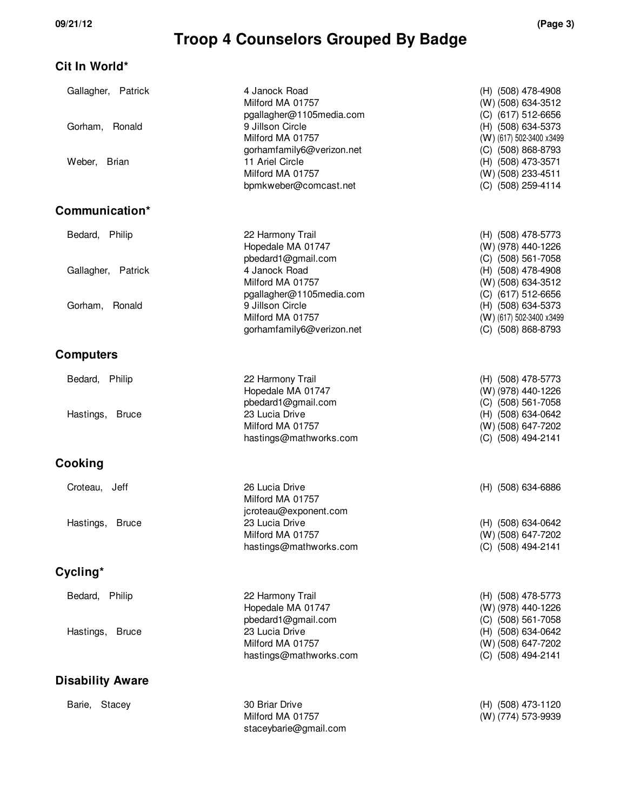#### **Cit In World\***

| Gallagher, Patrick        | 4 Janock Road<br>Milford MA 01757<br>pgallagher@1105media.com     | (H) (508) 478-4908<br>(W) (508) 634-3512<br>(C) (617) 512-6656       |
|---------------------------|-------------------------------------------------------------------|----------------------------------------------------------------------|
| Gorham, Ronald            | 9 Jillson Circle<br>Milford MA 01757<br>gorhamfamily6@verizon.net | (H) (508) 634-5373<br>(W) (617) 502-3400 x3499<br>(C) (508) 868-8793 |
| Weber, Brian              | 11 Ariel Circle<br>Milford MA 01757<br>bpmkweber@comcast.net      | (H) (508) 473-3571<br>(W) (508) 233-4511<br>(C) (508) 259-4114       |
| Communication*            |                                                                   |                                                                      |
| Bedard, Philip            | 22 Harmony Trail<br>Hopedale MA 01747<br>pbedard1@gmail.com       | (H) (508) 478-5773<br>(W) (978) 440-1226<br>(C) (508) 561-7058       |
| Gallagher, Patrick        | 4 Janock Road<br>Milford MA 01757<br>pgallagher@1105media.com     | (H) (508) 478-4908<br>(W) (508) 634-3512<br>(C) (617) 512-6656       |
| Gorham, Ronald            | 9 Jillson Circle<br>Milford MA 01757<br>gorhamfamily6@verizon.net | (H) (508) 634-5373<br>(W) (617) 502-3400 x3499<br>(C) (508) 868-8793 |
| <b>Computers</b>          |                                                                   |                                                                      |
| Bedard, Philip            | 22 Harmony Trail<br>Hopedale MA 01747<br>pbedard1@gmail.com       | (H) (508) 478-5773<br>(W) (978) 440-1226<br>(C) (508) 561-7058       |
| Hastings,<br><b>Bruce</b> | 23 Lucia Drive<br>Milford MA 01757<br>hastings@mathworks.com      | (H) (508) 634-0642<br>(W) (508) 647-7202<br>(C) (508) 494-2141       |
| Cooking                   |                                                                   |                                                                      |
| Croteau, Jeff             | 26 Lucia Drive<br>Milford MA 01757<br>jcroteau@exponent.com       | (H) (508) 634-6886                                                   |
| Hastings,<br><b>Bruce</b> | 23 Lucia Drive<br>Milford MA 01757<br>hastings@mathworks.com      | (H) (508) 634-0642<br>(W) (508) 647-7202<br>(C) (508) 494-2141       |
| Cycling*                  |                                                                   |                                                                      |
| Bedard, Philip            | 22 Harmony Trail<br>Hopedale MA 01747<br>pbedard1@gmail.com       | (H) (508) 478-5773<br>(W) (978) 440-1226<br>(C) (508) 561-7058       |
| Hastings,<br><b>Bruce</b> | 23 Lucia Drive<br>Milford MA 01757<br>hastings@mathworks.com      | (H) (508) 634-0642<br>(W) (508) 647-7202<br>(C) (508) 494-2141       |
| <b>Disability Aware</b>   |                                                                   |                                                                      |
| Barie, Stacey             | 30 Briar Drive<br>Milford MA 01757<br>staceybarie@gmail.com       | (H) (508) 473-1120<br>(W) (774) 573-9939                             |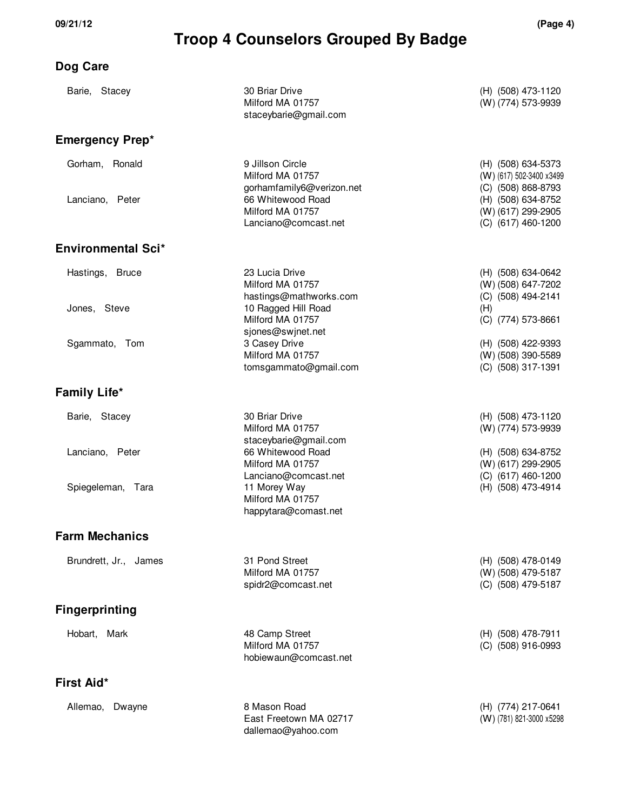**Dog Care**

#### **Troop 4 Counselors Grouped By Badge**

#### Barie, Stacey 30 Briar Drive 30 Briar Drive 30 Briar Drive 30 Briar 100 Briar 30 Briar 30 Briar 30 Briar 30 Briar 30 Briar 30 Briar 30 Briar 30 Briar 30 Briar 30 Briar 30 Briar 30 Briar 30 Briar 30 Briar 30 Briar 30 Briar Milford MA 01757 (W) (774) 573-9939 staceybarie@gmail.com **Emergency Prep\*** Gorham, Ronald 9 Jillson Circle (H) (508) 634-5373 Milford MA 01757 (W) (617) 502-3400 x3499 gorhamfamily6@verizon.net (C) (508) 868-8793 Lanciano, Peter 66 Whitewood Road (H) (508) 634-8752 Milford MA 01757 (W) (617) 299-2905 Lanciano@comcast.net (C) (617) 460-1200 **Environmental Sci\*** Hastings, Bruce 23 Lucia Drive (H) (508) 634-0642 Milford MA 01757 (W) (508) 647-7202 hastings@mathworks.com (C) (508) 494-2141 Jones, Steve 10 Ragged Hill Road (H) Milford MA 01757 (C) (774) 573-8661 sjones@swjnet.net Sgammato, Tom 3 Casey Drive 3 Casey Drive (H) (508) 422-9393 Milford MA 01757 (W) (508) 390-5589 tomsgammato@gmail.com (C) (508) 317-1391 **Family Life\*** Barie, Stacey 30 Briar Drive 30 Briar Drive 30 Briar Drive 30 Briar Drive 30 Briar 100 Briar 100 Briar 100 Bri Milford MA 01757 (W) (774) 573-9939 staceybarie@gmail.com Lanciano, Peter 66 Whitewood Road (H) (508) 634-8752 Milford MA 01757 (W) (617) 299-2905 Lanciano@comcast.net (C) (617) 460-1200 Spiegeleman, Tara 11 Morey Way 11 Morey Way 11 Morey Way 11 Morey Number 2008) 473-4914 Milford MA 01757 happytara@comast.net **Farm Mechanics** Brundrett, Jr., James 31 Pond Street (H) (508) 478-0149 Milford MA 01757 (W) (508) 479-5187 spidr2@comcast.net (C) (508) 479-5187 **Fingerprinting** Hobart, Mark 48 Camp Street (H) (508) 478-7911 Milford MA 01757 (C) (508) 916-0993 hobiewaun@comcast.net **First Aid\*** Allemao, Dwayne 8 Mason Road (H) (774) 217-0641 East Freetown MA 02717 (W) (781) 821-3000 x5298 dallemao@yahoo.com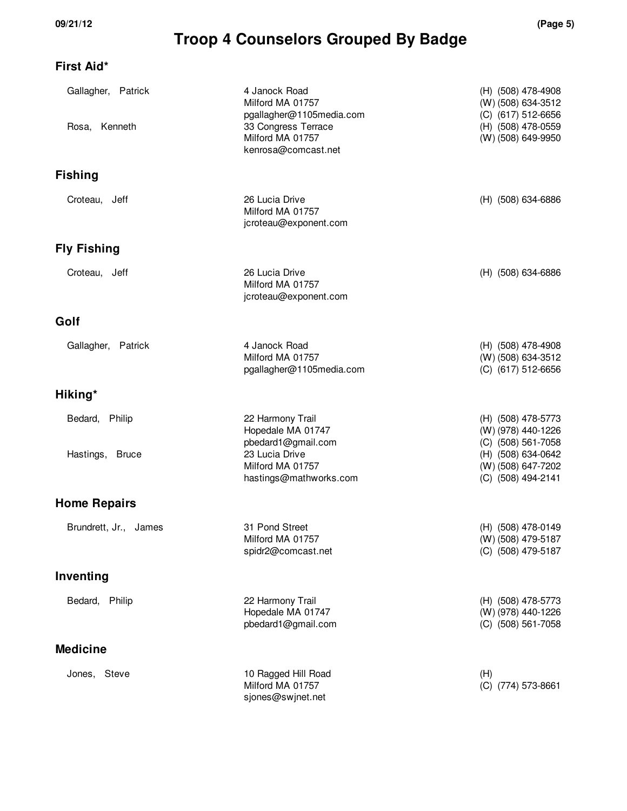### **First Aid\***

| Gallagher, Patrick<br>Rosa, Kenneth | 4 Janock Road<br>Milford MA 01757<br>pgallagher@1105media.com<br>33 Congress Terrace<br>Milford MA 01757 | (H) (508) 478-4908<br>(W) (508) 634-3512<br>(C) (617) 512-6656<br>(H) (508) 478-0559<br>(W) (508) 649-9950 |
|-------------------------------------|----------------------------------------------------------------------------------------------------------|------------------------------------------------------------------------------------------------------------|
|                                     | kenrosa@comcast.net                                                                                      |                                                                                                            |
| <b>Fishing</b>                      |                                                                                                          |                                                                                                            |
| Croteau, Jeff                       | 26 Lucia Drive<br>Milford MA 01757<br>jcroteau@exponent.com                                              | (H) (508) 634-6886                                                                                         |
| <b>Fly Fishing</b>                  |                                                                                                          |                                                                                                            |
| Croteau, Jeff                       | 26 Lucia Drive<br>Milford MA 01757<br>jcroteau@exponent.com                                              | (H) (508) 634-6886                                                                                         |
| Golf                                |                                                                                                          |                                                                                                            |
| Gallagher, Patrick                  | 4 Janock Road<br>Milford MA 01757<br>pgallagher@1105media.com                                            | (H) (508) 478-4908<br>(W) (508) 634-3512<br>(C) (617) 512-6656                                             |
| Hiking*                             |                                                                                                          |                                                                                                            |
| Bedard, Philip                      | 22 Harmony Trail<br>Hopedale MA 01747<br>pbedard1@gmail.com                                              | (H) (508) 478-5773<br>(W) (978) 440-1226<br>(C) (508) 561-7058                                             |
| Hastings, Bruce                     | 23 Lucia Drive<br>Milford MA 01757<br>hastings@mathworks.com                                             | (H) (508) 634-0642<br>(W) (508) 647-7202<br>(C) (508) 494-2141                                             |
| <b>Home Repairs</b>                 |                                                                                                          |                                                                                                            |
| Brundrett, Jr., James               | 31 Pond Street<br>Milford MA 01757<br>spidr2@comcast.net                                                 | (H) (508) 478-0149<br>(W) (508) 479-5187<br>(C) (508) 479-5187                                             |
| Inventing                           |                                                                                                          |                                                                                                            |
| Bedard, Philip                      | 22 Harmony Trail<br>Hopedale MA 01747<br>pbedard1@gmail.com                                              | (H) (508) 478-5773<br>(W) (978) 440-1226<br>(C) (508) 561-7058                                             |
| <b>Medicine</b>                     |                                                                                                          |                                                                                                            |
| Jones, Steve                        | 10 Ragged Hill Road<br>Milford MA 01757<br>sjones@swjnet.net                                             | (H)<br>(C) (774) 573-8661                                                                                  |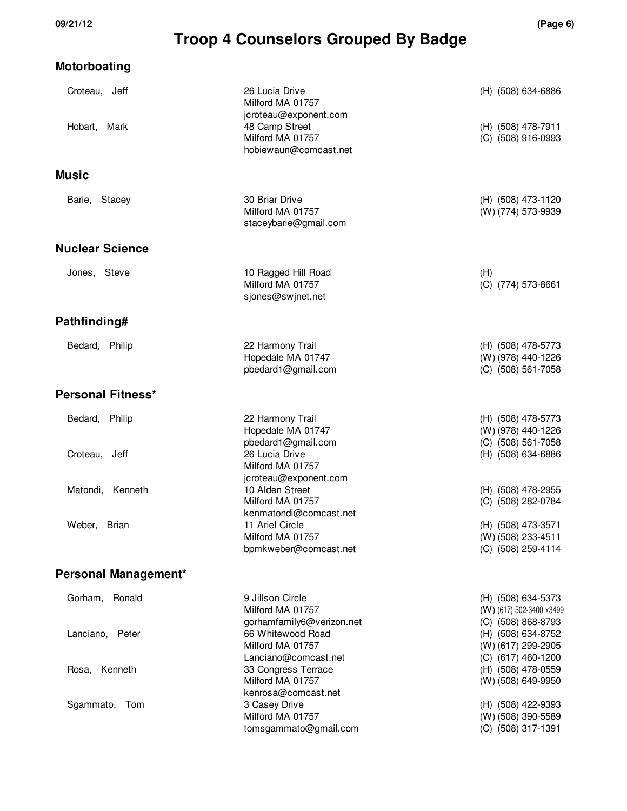| <b>Motorboating</b>           |                                                                               |                                                                      |
|-------------------------------|-------------------------------------------------------------------------------|----------------------------------------------------------------------|
| Croteau, Jeff<br>Hobart, Mark | 26 Lucia Drive<br>Milford MA 01757<br>jcroteau@exponent.com<br>48 Camp Street | (H) (508) 634-6886<br>(H) (508) 478-7911                             |
|                               | Milford MA 01757<br>hobiewaun@comcast.net                                     | (C) (508) 916-0993                                                   |
| <b>Music</b>                  |                                                                               |                                                                      |
| Barie, Stacey                 | 30 Briar Drive<br>Milford MA 01757<br>staceybarie@gmail.com                   | (H) (508) 473-1120<br>(W) (774) 573-9939                             |
| <b>Nuclear Science</b>        |                                                                               |                                                                      |
| Jones, Steve                  | 10 Ragged Hill Road<br>Milford MA 01757<br>sjones@swjnet.net                  | (H)<br>(C) (774) 573-8661                                            |
| Pathfinding#                  |                                                                               |                                                                      |
| Bedard, Philip                | 22 Harmony Trail<br>Hopedale MA 01747<br>pbedard1@gmail.com                   | (H) (508) 478-5773<br>(W) (978) 440-1226<br>(C) (508) 561-7058       |
| Personal Fitness*             |                                                                               |                                                                      |
| Bedard, Philip                | 22 Harmony Trail<br>Hopedale MA 01747<br>pbedard1@gmail.com                   | (H) (508) 478-5773<br>(W) (978) 440-1226<br>(C) (508) 561-7058       |
| Croteau, Jeff                 | 26 Lucia Drive<br>Milford MA 01757<br>jcroteau@exponent.com                   | (H) (508) 634-6886                                                   |
| Matondi, Kenneth              | 10 Alden Street<br>Milford MA 01757<br>kenmatondi@comcast.net                 | (H) (508) 478-2955<br>(C) (508) 282-0784                             |
| Weber, Brian                  | 11 Ariel Circle<br>Milford MA 01757<br>bpmkweber@comcast.net                  | (H) (508) 473-3571<br>(W) (508) 233-4511<br>(C) (508) 259-4114       |
| Personal Management*          |                                                                               |                                                                      |
| Gorham, Ronald                | 9 Jillson Circle<br>Milford MA 01757<br>gorhamfamily6@verizon.net             | (H) (508) 634-5373<br>(W) (617) 502-3400 x3499<br>(C) (508) 868-8793 |
| Lanciano, Peter               | 66 Whitewood Road<br>Milford MA 01757<br>Lanciano@comcast.net                 | (H) (508) 634-8752<br>(W) (617) 299-2905<br>(C) (617) 460-1200       |
| Kenneth<br>Rosa,              | 33 Congress Terrace<br>Milford MA 01757<br>kenrosa@comcast.net                | (H) (508) 478-0559<br>(W) (508) 649-9950                             |
| Sgammato, Tom                 | 3 Casey Drive<br>Milford MA 01757<br>tomsgammato@gmail.com                    | (H) (508) 422-9393<br>(W) (508) 390-5589<br>(C) (508) 317-1391       |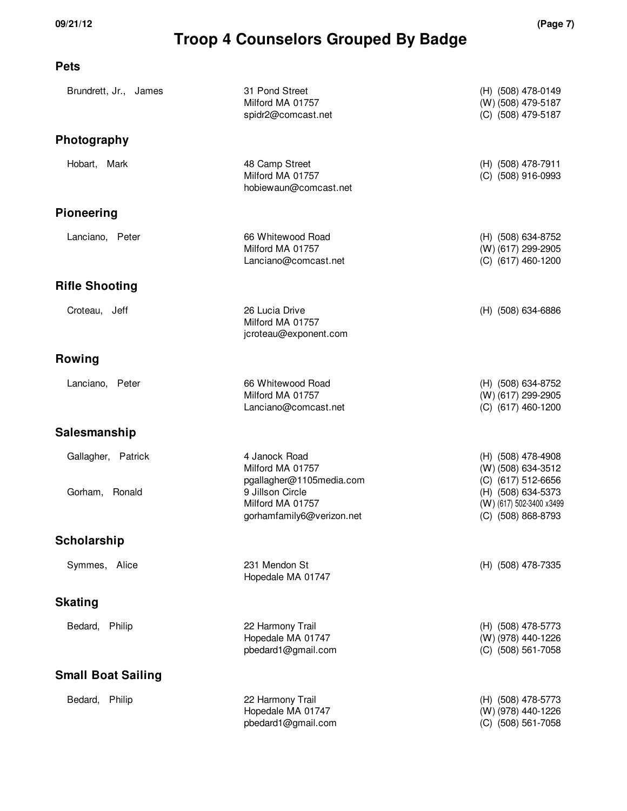#### **Pets**

| Brundrett, Jr., James                | 31 Pond Street<br>Milford MA 01757<br>spidr2@comcast.net                                                                           | (H) (508) 478-0149<br>(W) (508) 479-5187<br>(C) (508) 479-5187                                                                         |
|--------------------------------------|------------------------------------------------------------------------------------------------------------------------------------|----------------------------------------------------------------------------------------------------------------------------------------|
| Photography                          |                                                                                                                                    |                                                                                                                                        |
| Hobart, Mark                         | 48 Camp Street<br>Milford MA 01757<br>hobiewaun@comcast.net                                                                        | (H) (508) 478-7911<br>(C) (508) 916-0993                                                                                               |
| <b>Pioneering</b>                    |                                                                                                                                    |                                                                                                                                        |
| Lanciano, Peter                      | 66 Whitewood Road<br>Milford MA 01757<br>Lanciano@comcast.net                                                                      | (H) (508) 634-8752<br>(W) (617) 299-2905<br>(C) (617) 460-1200                                                                         |
| <b>Rifle Shooting</b>                |                                                                                                                                    |                                                                                                                                        |
| Croteau, Jeff                        | 26 Lucia Drive<br>Milford MA 01757<br>jcroteau@exponent.com                                                                        | (H) (508) 634-6886                                                                                                                     |
| Rowing                               |                                                                                                                                    |                                                                                                                                        |
| Lanciano, Peter                      | 66 Whitewood Road<br>Milford MA 01757<br>Lanciano@comcast.net                                                                      | (H) (508) 634-8752<br>(W) (617) 299-2905<br>(C) (617) 460-1200                                                                         |
| Salesmanship                         |                                                                                                                                    |                                                                                                                                        |
| Gallagher, Patrick<br>Gorham, Ronald | 4 Janock Road<br>Milford MA 01757<br>pgallagher@1105media.com<br>9 Jillson Circle<br>Milford MA 01757<br>gorhamfamily6@verizon.net | (H) (508) 478-4908<br>(W) (508) 634-3512<br>(C) (617) 512-6656<br>(H) (508) 634-5373<br>(W) (617) 502-3400 x3499<br>(C) (508) 868-8793 |
| Scholarship                          |                                                                                                                                    |                                                                                                                                        |
| Symmes, Alice                        | 231 Mendon St<br>Hopedale MA 01747                                                                                                 | (H) (508) 478-7335                                                                                                                     |
| <b>Skating</b>                       |                                                                                                                                    |                                                                                                                                        |
| Bedard, Philip                       | 22 Harmony Trail<br>Hopedale MA 01747<br>pbedard1@gmail.com                                                                        | (H) (508) 478-5773<br>(W) (978) 440-1226<br>(C) (508) 561-7058                                                                         |
| <b>Small Boat Sailing</b>            |                                                                                                                                    |                                                                                                                                        |
| Bedard, Philip                       | 22 Harmony Trail<br>Hopedale MA 01747<br>pbedard1@gmail.com                                                                        | (H) (508) 478-5773<br>(W) (978) 440-1226<br>(C) (508) 561-7058                                                                         |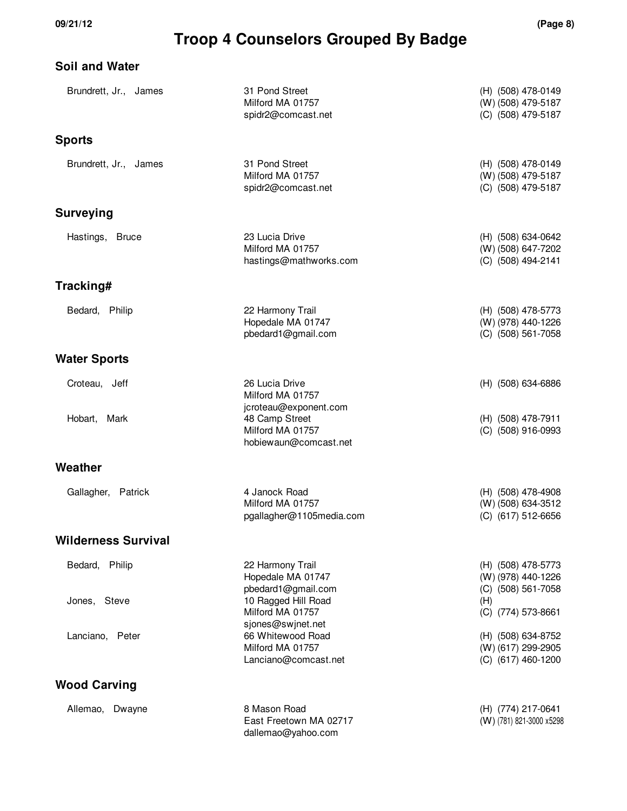| <b>Soil and Water</b>      |                                                               |                                                                |
|----------------------------|---------------------------------------------------------------|----------------------------------------------------------------|
| Brundrett, Jr., James      | 31 Pond Street<br>Milford MA 01757<br>spidr2@comcast.net      | (H) (508) 478-0149<br>(W) (508) 479-5187<br>(C) (508) 479-5187 |
| <b>Sports</b>              |                                                               |                                                                |
| Brundrett, Jr., James      | 31 Pond Street<br>Milford MA 01757<br>spidr2@comcast.net      | (H) (508) 478-0149<br>(W) (508) 479-5187<br>(C) (508) 479-5187 |
| <b>Surveying</b>           |                                                               |                                                                |
| Hastings, Bruce            | 23 Lucia Drive<br>Milford MA 01757<br>hastings@mathworks.com  | (H) (508) 634-0642<br>(W) (508) 647-7202<br>(C) (508) 494-2141 |
| Tracking#                  |                                                               |                                                                |
| Bedard, Philip             | 22 Harmony Trail<br>Hopedale MA 01747<br>pbedard1@gmail.com   | (H) (508) 478-5773<br>(W) (978) 440-1226<br>(C) (508) 561-7058 |
| <b>Water Sports</b>        |                                                               |                                                                |
| Croteau, Jeff              | 26 Lucia Drive<br>Milford MA 01757<br>jcroteau@exponent.com   | (H) (508) 634-6886                                             |
| Hobart, Mark               | 48 Camp Street<br>Milford MA 01757<br>hobiewaun@comcast.net   | (H) (508) 478-7911<br>(C) (508) 916-0993                       |
| Weather                    |                                                               |                                                                |
| Gallagher, Patrick         | 4 Janock Road<br>Milford MA 01757<br>pgallagher@1105media.com | (H) (508) 478-4908<br>(W) (508) 634-3512<br>(C) (617) 512-6656 |
| <b>Wilderness Survival</b> |                                                               |                                                                |
| Bedard, Philip             | 22 Harmony Trail<br>Hopedale MA 01747<br>pbedard1@gmail.com   | (H) (508) 478-5773<br>(W) (978) 440-1226<br>(C) (508) 561-7058 |
| Jones, Steve               | 10 Ragged Hill Road<br>Milford MA 01757<br>sjones@swjnet.net  | (H)<br>(C) (774) 573-8661                                      |
| Lanciano, Peter            | 66 Whitewood Road<br>Milford MA 01757<br>Lanciano@comcast.net | (H) (508) 634-8752<br>(W) (617) 299-2905<br>(C) (617) 460-1200 |
| <b>Wood Carving</b>        |                                                               |                                                                |
| Allemao, Dwayne            | 8 Mason Road<br>East Freetown MA 02717<br>dallemao@yahoo.com  | (H) (774) 217-0641<br>(W) (781) 821-3000 x5298                 |